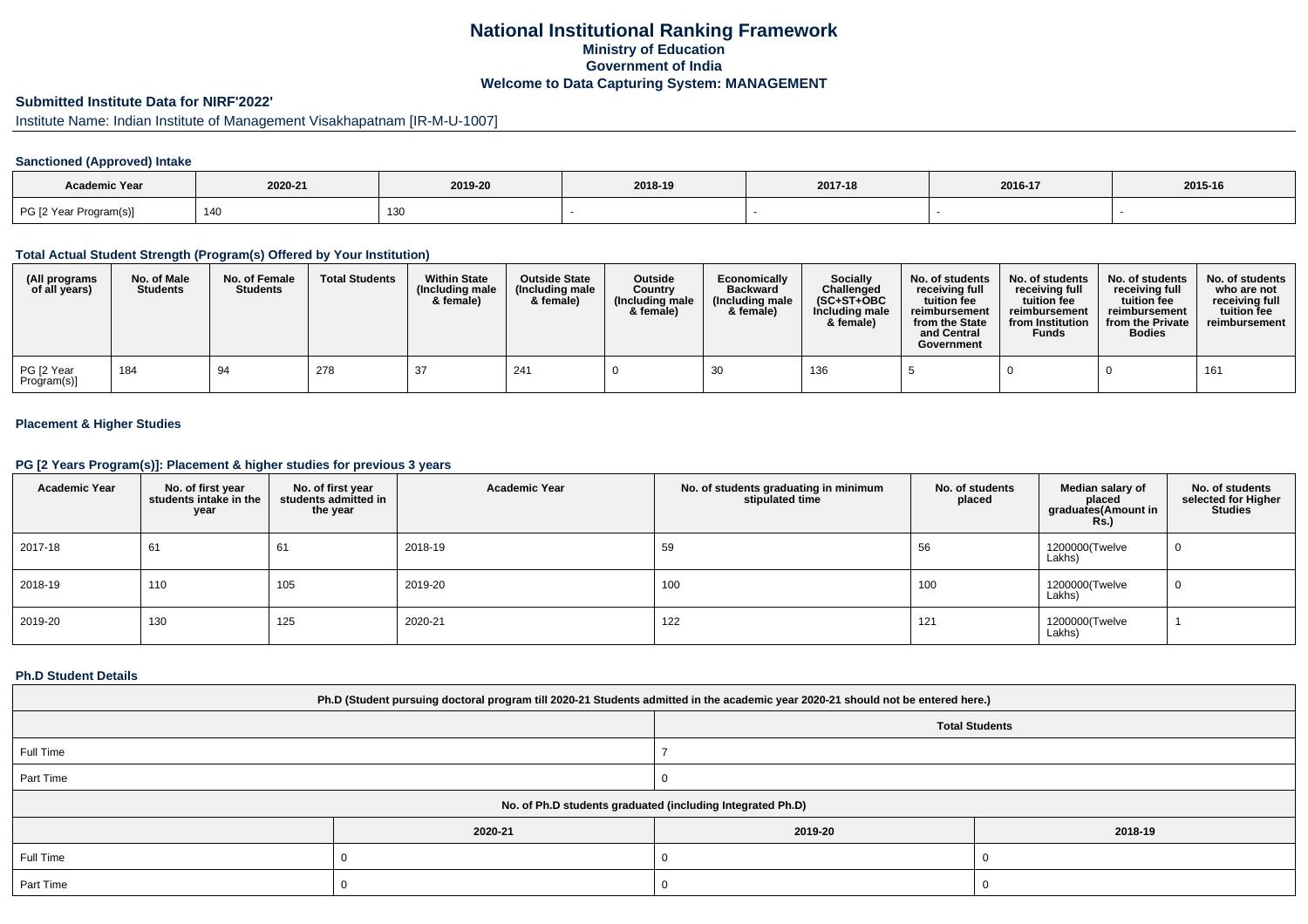## **National Institutional Ranking FrameworkMinistry of Education Government of IndiaWelcome to Data Capturing System: MANAGEMENT**

# **Submitted Institute Data for NIRF'2022'**

# Institute Name: Indian Institute of Management Visakhapatnam [IR-M-U-1007]

## **Sanctioned (Approved) Intake**

| <b>Academic Year</b>   |         |         |         |         |         |         |
|------------------------|---------|---------|---------|---------|---------|---------|
|                        | 2020-21 | 2019-20 | 2018-19 | 2017-18 | 2016-17 | 2015-16 |
| PG [2 Year Program(s)] | 14(     | 130     |         |         |         |         |

#### **Total Actual Student Strength (Program(s) Offered by Your Institution)**

| (All programs<br>of all years) | No. of Male<br><b>Students</b> | No. of Female<br><b>Students</b> | <b>Total Students</b> | <b>Within State</b><br>(Including male<br>& female) | <b>Outside State</b><br>(Including male<br>& female) | <b>Outside</b><br>Country<br>(Including male<br>& female) | Economically<br><b>Backward</b><br>(Including male<br>& female) | <b>Socially</b><br>Challenged<br>$(SC+ST+OBC$<br>Including male<br>& female) | No. of students<br>receiving full<br>tuition fee<br>reimbursement<br>from the State<br>and Central<br>Government | No. of students<br>receiving full<br>tuition fee<br>reimbursement<br>from Institution<br><b>Funds</b> | No. of students<br>receiving full<br>tuition fee<br>reimbursement<br>from the Private<br><b>Bodies</b> | No. of students<br>who are not<br>receiving full<br>tuition fee<br>reimbursement |
|--------------------------------|--------------------------------|----------------------------------|-----------------------|-----------------------------------------------------|------------------------------------------------------|-----------------------------------------------------------|-----------------------------------------------------------------|------------------------------------------------------------------------------|------------------------------------------------------------------------------------------------------------------|-------------------------------------------------------------------------------------------------------|--------------------------------------------------------------------------------------------------------|----------------------------------------------------------------------------------|
| PG [2 Year<br>Program(s)]      | 184                            | 94                               | 278                   | -37                                                 | 241                                                  |                                                           |                                                                 | 136                                                                          |                                                                                                                  |                                                                                                       |                                                                                                        | 161                                                                              |

## **Placement & Higher Studies**

#### **PG [2 Years Program(s)]: Placement & higher studies for previous 3 years**

| <b>Academic Year</b> | No. of first year<br>students intake in the<br>year | No. of first year<br>students admitted in<br>the year | <b>Academic Year</b> | No. of students graduating in minimum<br>stipulated time | No. of students<br>placed | Median salary of<br>placed<br>graduates(Amount in<br><b>Rs.)</b> | No. of students<br>selected for Higher<br><b>Studies</b> |
|----------------------|-----------------------------------------------------|-------------------------------------------------------|----------------------|----------------------------------------------------------|---------------------------|------------------------------------------------------------------|----------------------------------------------------------|
| 2017-18              | 61                                                  | 61                                                    | 2018-19              | 59                                                       | 56                        | 1200000(Twelve<br>Lakhs)                                         | 0                                                        |
| 2018-19              | 110                                                 | 105                                                   | 2019-20              | 100                                                      | 100                       | 1200000(Twelve<br>Lakhs)                                         | 0                                                        |
| 2019-20              | 130                                                 | 125                                                   | 2020-21              | 122                                                      | 121                       | 1200000(Twelve<br>Lakhs)                                         |                                                          |

#### **Ph.D Student Details**

| Ph.D (Student pursuing doctoral program till 2020-21 Students admitted in the academic year 2020-21 should not be entered here.) |         |                                                            |         |  |  |  |  |
|----------------------------------------------------------------------------------------------------------------------------------|---------|------------------------------------------------------------|---------|--|--|--|--|
| <b>Total Students</b>                                                                                                            |         |                                                            |         |  |  |  |  |
| Full Time                                                                                                                        |         |                                                            |         |  |  |  |  |
| Part Time                                                                                                                        |         |                                                            |         |  |  |  |  |
|                                                                                                                                  |         | No. of Ph.D students graduated (including Integrated Ph.D) |         |  |  |  |  |
|                                                                                                                                  | 2020-21 | 2019-20                                                    | 2018-19 |  |  |  |  |
| Full Time                                                                                                                        |         |                                                            |         |  |  |  |  |
| Part Time                                                                                                                        |         |                                                            |         |  |  |  |  |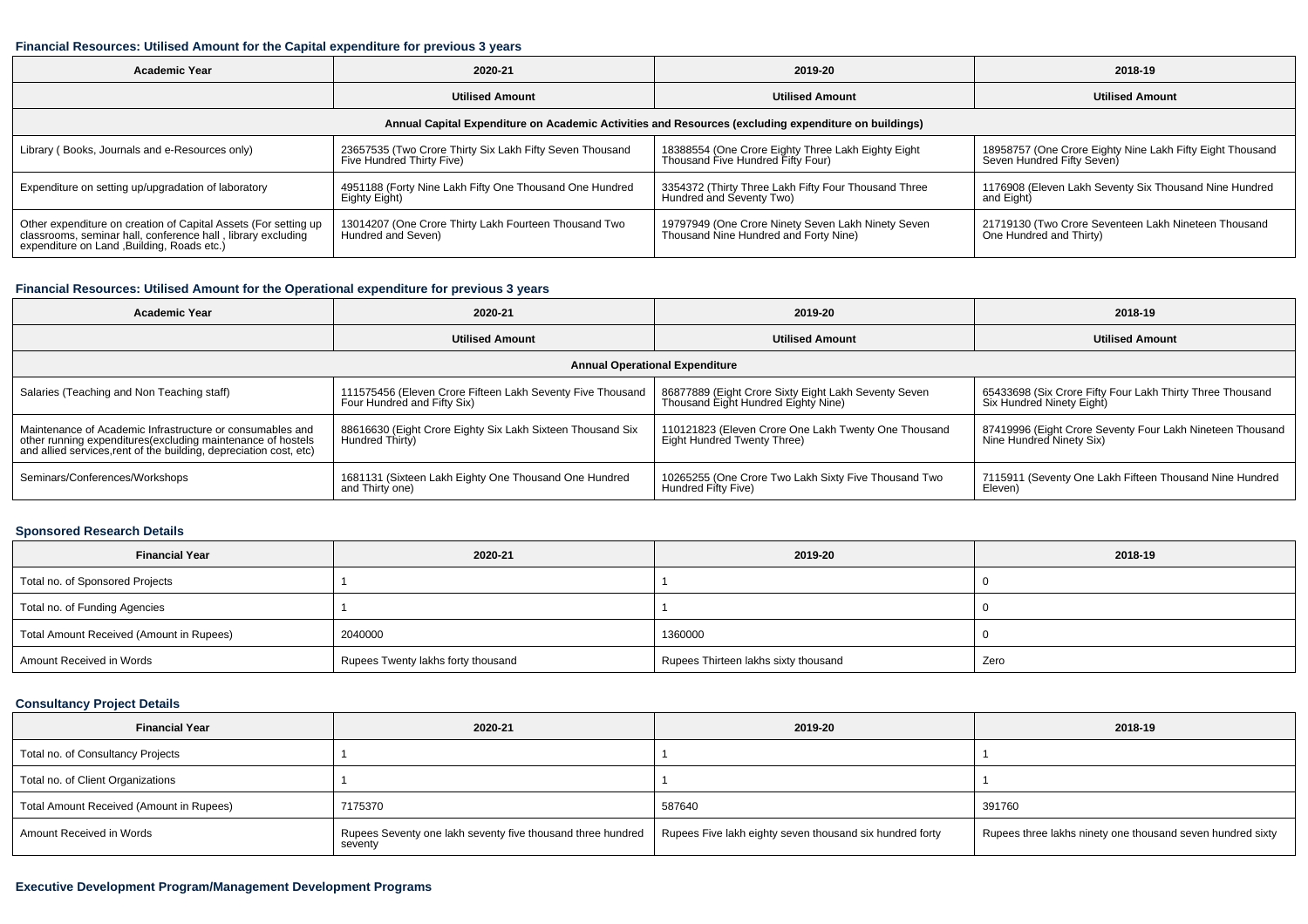#### **Financial Resources: Utilised Amount for the Capital expenditure for previous 3 years**

| <b>Academic Year</b>                                                                                                                                                           | 2020-21                                                                                              | 2019-20                                                                                     | 2018-19                                                                                 |  |  |  |  |  |  |  |
|--------------------------------------------------------------------------------------------------------------------------------------------------------------------------------|------------------------------------------------------------------------------------------------------|---------------------------------------------------------------------------------------------|-----------------------------------------------------------------------------------------|--|--|--|--|--|--|--|
|                                                                                                                                                                                | <b>Utilised Amount</b>                                                                               | <b>Utilised Amount</b>                                                                      | <b>Utilised Amount</b>                                                                  |  |  |  |  |  |  |  |
|                                                                                                                                                                                | Annual Capital Expenditure on Academic Activities and Resources (excluding expenditure on buildings) |                                                                                             |                                                                                         |  |  |  |  |  |  |  |
| Library (Books, Journals and e-Resources only)                                                                                                                                 | 23657535 (Two Crore Thirty Six Lakh Fifty Seven Thousand<br>Five Hundred Thirty Five)                | 18388554 (One Crore Eighty Three Lakh Eighty Eight<br>Thousand Five Hundred Fifty Four)     | 18958757 (One Crore Eighty Nine Lakh Fifty Eight Thousand<br>Seven Hundred Fifty Seven) |  |  |  |  |  |  |  |
| Expenditure on setting up/upgradation of laboratory                                                                                                                            | 4951188 (Forty Nine Lakh Fifty One Thousand One Hundred<br>Eighty Eight)                             | 3354372 (Thirty Three Lakh Fifty Four Thousand Three<br>Hundred and Seventy Two)            | 1176908 (Eleven Lakh Seventy Six Thousand Nine Hundred<br>and Eight)                    |  |  |  |  |  |  |  |
| Other expenditure on creation of Capital Assets (For setting up<br>classrooms, seminar hall, conference hall, library excluding<br>expenditure on Land , Building, Roads etc.) | 13014207 (One Crore Thirty Lakh Fourteen Thousand Two<br>Hundred and Seven)                          | 19797949 (One Crore Ninety Seven Lakh Ninety Seven<br>Thousand Nine Hundred and Forty Nine) | 21719130 (Two Crore Seventeen Lakh Nineteen Thousand<br>One Hundred and Thirty)         |  |  |  |  |  |  |  |

## **Financial Resources: Utilised Amount for the Operational expenditure for previous 3 years**

| <b>Academic Year</b>                                                                                                                                                                           | 2020-21                                                                                   | 2019-20                                                                                     | 2018-19                                                                                |  |  |  |  |  |  |
|------------------------------------------------------------------------------------------------------------------------------------------------------------------------------------------------|-------------------------------------------------------------------------------------------|---------------------------------------------------------------------------------------------|----------------------------------------------------------------------------------------|--|--|--|--|--|--|
| <b>Utilised Amount</b>                                                                                                                                                                         |                                                                                           | <b>Utilised Amount</b>                                                                      | <b>Utilised Amount</b>                                                                 |  |  |  |  |  |  |
|                                                                                                                                                                                                | <b>Annual Operational Expenditure</b>                                                     |                                                                                             |                                                                                        |  |  |  |  |  |  |
| Salaries (Teaching and Non Teaching staff)                                                                                                                                                     | 111575456 (Eleven Crore Fifteen Lakh Seventy Five Thousand<br>Four Hundred and Fifty Six) | 86877889 (Eight Crore Sixty Eight Lakh Seventy Seven<br>Thousand Eight Hundred Eighty Nine) | 65433698 (Six Crore Fifty Four Lakh Thirty Three Thousand<br>Six Hundred Ninety Eight) |  |  |  |  |  |  |
| Maintenance of Academic Infrastructure or consumables and<br>other running expenditures(excluding maintenance of hostels<br>and allied services, rent of the building, depreciation cost, etc) | 88616630 (Eight Crore Eighty Six Lakh Sixteen Thousand Six<br>Hundred Thirty)             | 110121823 (Eleven Crore One Lakh Twenty One Thousand<br>Eight Hundred Twenty Three)         | 87419996 (Eight Crore Seventy Four Lakh Nineteen Thousand<br>Nine Hundred Ninety Six)  |  |  |  |  |  |  |
| Seminars/Conferences/Workshops                                                                                                                                                                 | 1681131 (Sixteen Lakh Eighty One Thousand One Hundred<br>and Thirty one)                  | 10265255 (One Crore Two Lakh Sixty Five Thousand Two<br>Hundred Fifty Five)                 | 7115911 (Seventy One Lakh Fifteen Thousand Nine Hundred<br>Eleven)                     |  |  |  |  |  |  |

## **Sponsored Research Details**

| <b>Financial Year</b>                    | 2020-21                            | 2019-20                              | 2018-19 |
|------------------------------------------|------------------------------------|--------------------------------------|---------|
| Total no. of Sponsored Projects          |                                    |                                      |         |
| Total no. of Funding Agencies            |                                    |                                      |         |
| Total Amount Received (Amount in Rupees) | 2040000                            | 1360000                              |         |
| Amount Received in Words                 | Rupees Twenty lakhs forty thousand | Rupees Thirteen lakhs sixty thousand | Zero    |

## **Consultancy Project Details**

| <b>Financial Year</b>                    | 2020-21                                                                | 2019-20                                                  | 2018-19                                                    |
|------------------------------------------|------------------------------------------------------------------------|----------------------------------------------------------|------------------------------------------------------------|
| Total no. of Consultancy Projects        |                                                                        |                                                          |                                                            |
| Total no. of Client Organizations        |                                                                        |                                                          |                                                            |
| Total Amount Received (Amount in Rupees) | 7175370                                                                | 587640                                                   | 391760                                                     |
| Amount Received in Words                 | Rupees Seventy one lakh seventy five thousand three hundred<br>seventy | Rupees Five lakh eighty seven thousand six hundred forty | Rupees three lakhs ninety one thousand seven hundred sixty |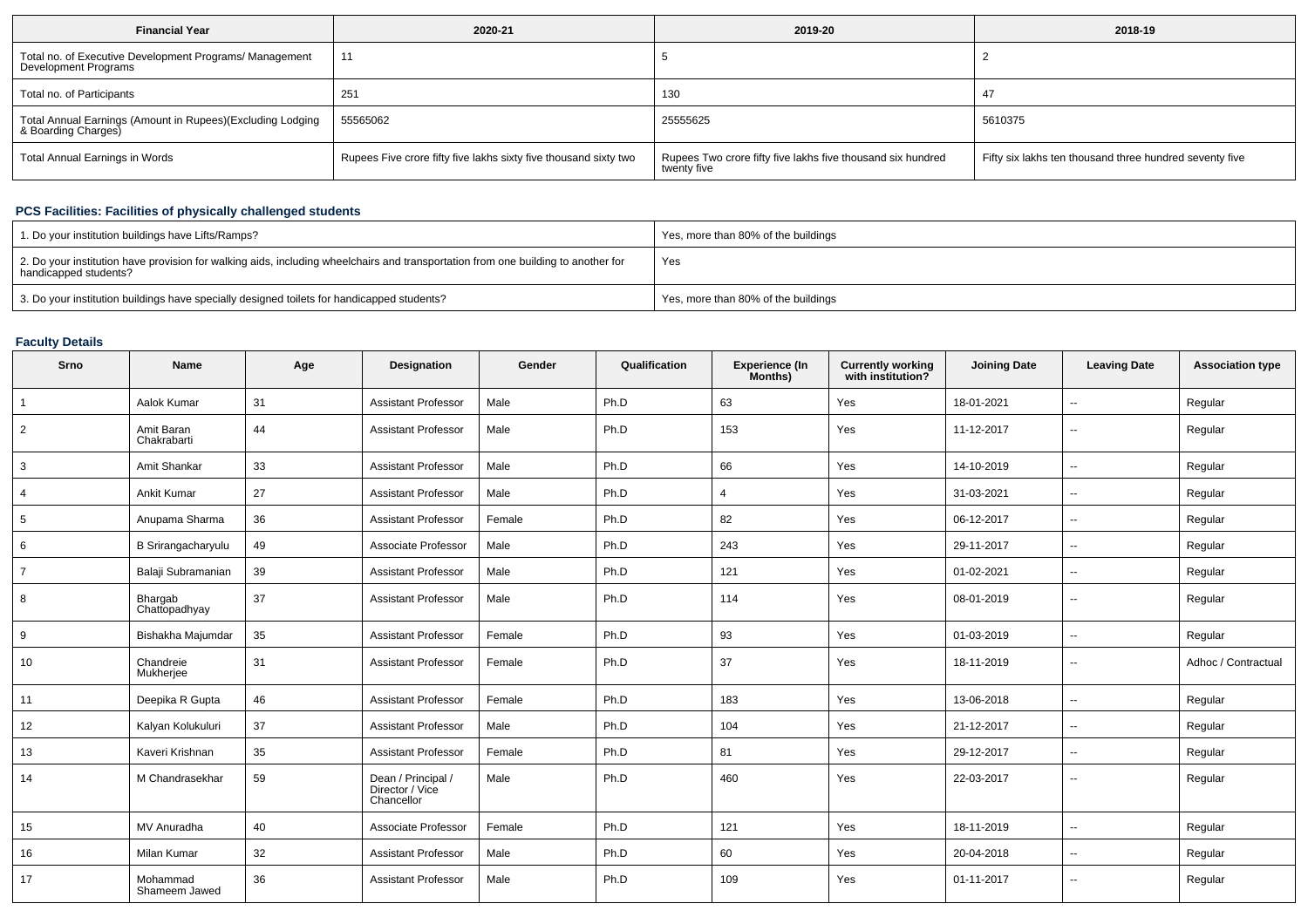| <b>Financial Year</b>                                                             | 2020-21                                                          | 2019-20                                                                    | 2018-19                                                 |
|-----------------------------------------------------------------------------------|------------------------------------------------------------------|----------------------------------------------------------------------------|---------------------------------------------------------|
| Total no. of Executive Development Programs/ Management<br>Development Programs   | 11                                                               |                                                                            |                                                         |
| Total no. of Participants                                                         | 251                                                              | 130                                                                        |                                                         |
| Total Annual Earnings (Amount in Rupees)(Excluding Lodging<br>& Boarding Charges) | 55565062                                                         | 25555625                                                                   | 5610375                                                 |
| Total Annual Earnings in Words                                                    | Rupees Five crore fifty five lakhs sixty five thousand sixty two | Rupees Two crore fifty five lakhs five thousand six hundred<br>twenty five | Fifty six lakhs ten thousand three hundred seventy five |

## **PCS Facilities: Facilities of physically challenged students**

| 1. Do your institution buildings have Lifts/Ramps?                                                                                                         | Yes, more than 80% of the buildings |
|------------------------------------------------------------------------------------------------------------------------------------------------------------|-------------------------------------|
| 2. Do your institution have provision for walking aids, including wheelchairs and transportation from one building to another for<br>handicapped students? | Yes                                 |
| 3. Do your institution buildings have specially designed toilets for handicapped students?                                                                 | Yes, more than 80% of the buildings |

## **Faculty Details**

| Srno           | <b>Name</b>               | Age | Designation                                         | Gender | Qualification | <b>Experience (In</b><br>Months) | <b>Currently working</b><br>with institution? | <b>Joining Date</b> | <b>Leaving Date</b>      | <b>Association type</b> |
|----------------|---------------------------|-----|-----------------------------------------------------|--------|---------------|----------------------------------|-----------------------------------------------|---------------------|--------------------------|-------------------------|
| $\overline{1}$ | Aalok Kumar               | 31  | <b>Assistant Professor</b>                          | Male   | Ph.D          | 63                               | Yes                                           | 18-01-2021          | --                       | Regular                 |
| $\overline{2}$ | Amit Baran<br>Chakrabarti | 44  | <b>Assistant Professor</b>                          | Male   | Ph.D          | 153                              | Yes                                           | 11-12-2017          | $\sim$                   | Regular                 |
| 3              | Amit Shankar              | 33  | <b>Assistant Professor</b>                          | Male   | Ph.D          | 66                               | Yes                                           | 14-10-2019          | $\mathbf{u}$             | Regular                 |
| 4              | <b>Ankit Kumar</b>        | 27  | <b>Assistant Professor</b>                          | Male   | Ph.D          | $\overline{4}$                   | Yes                                           | 31-03-2021          | $\sim$                   | Regular                 |
| 5              | Anupama Sharma            | 36  | <b>Assistant Professor</b>                          | Female | Ph.D          | 82                               | Yes                                           | 06-12-2017          | $\sim$                   | Regular                 |
| 6              | B Srirangacharyulu        | 49  | Associate Professor                                 | Male   | Ph.D          | 243                              | Yes                                           | 29-11-2017          | $\sim$                   | Regular                 |
| $\overline{7}$ | Balaji Subramanian        | 39  | <b>Assistant Professor</b>                          | Male   | Ph.D          | 121                              | Yes                                           | 01-02-2021          | $\sim$                   | Regular                 |
| 8              | Bhargab<br>Chattopadhyay  | 37  | <b>Assistant Professor</b>                          | Male   | Ph.D          | 114                              | Yes                                           | 08-01-2019          | $\mathbf{u}$             | Regular                 |
| 9              | Bishakha Majumdar         | 35  | <b>Assistant Professor</b>                          | Female | Ph.D          | 93                               | Yes                                           | 01-03-2019          | $\overline{\phantom{a}}$ | Regular                 |
| 10             | Chandreie<br>Mukherjee    | 31  | <b>Assistant Professor</b>                          | Female | Ph.D          | 37                               | Yes                                           | 18-11-2019          | $\overline{\phantom{a}}$ | Adhoc / Contractual     |
| 11             | Deepika R Gupta           | 46  | <b>Assistant Professor</b>                          | Female | Ph.D          | 183                              | Yes                                           | 13-06-2018          | $\sim$                   | Regular                 |
| 12             | Kalyan Kolukuluri         | 37  | <b>Assistant Professor</b>                          | Male   | Ph.D          | 104                              | Yes                                           | 21-12-2017          | $\sim$                   | Regular                 |
| 13             | Kaveri Krishnan           | 35  | <b>Assistant Professor</b>                          | Female | Ph.D          | 81                               | Yes                                           | 29-12-2017          | $\sim$                   | Regular                 |
| 14             | M Chandrasekhar           | 59  | Dean / Principal /<br>Director / Vice<br>Chancellor | Male   | Ph.D          | 460                              | Yes                                           | 22-03-2017          | $\overline{\phantom{a}}$ | Regular                 |
| 15             | MV Anuradha               | 40  | Associate Professor                                 | Female | Ph.D          | 121                              | Yes                                           | 18-11-2019          | $\sim$                   | Regular                 |
| 16             | Milan Kumar               | 32  | <b>Assistant Professor</b>                          | Male   | Ph.D          | 60                               | Yes                                           | 20-04-2018          | $\sim$                   | Regular                 |
| 17             | Mohammad<br>Shameem Jawed | 36  | <b>Assistant Professor</b>                          | Male   | Ph.D          | 109                              | Yes                                           | 01-11-2017          | --                       | Regular                 |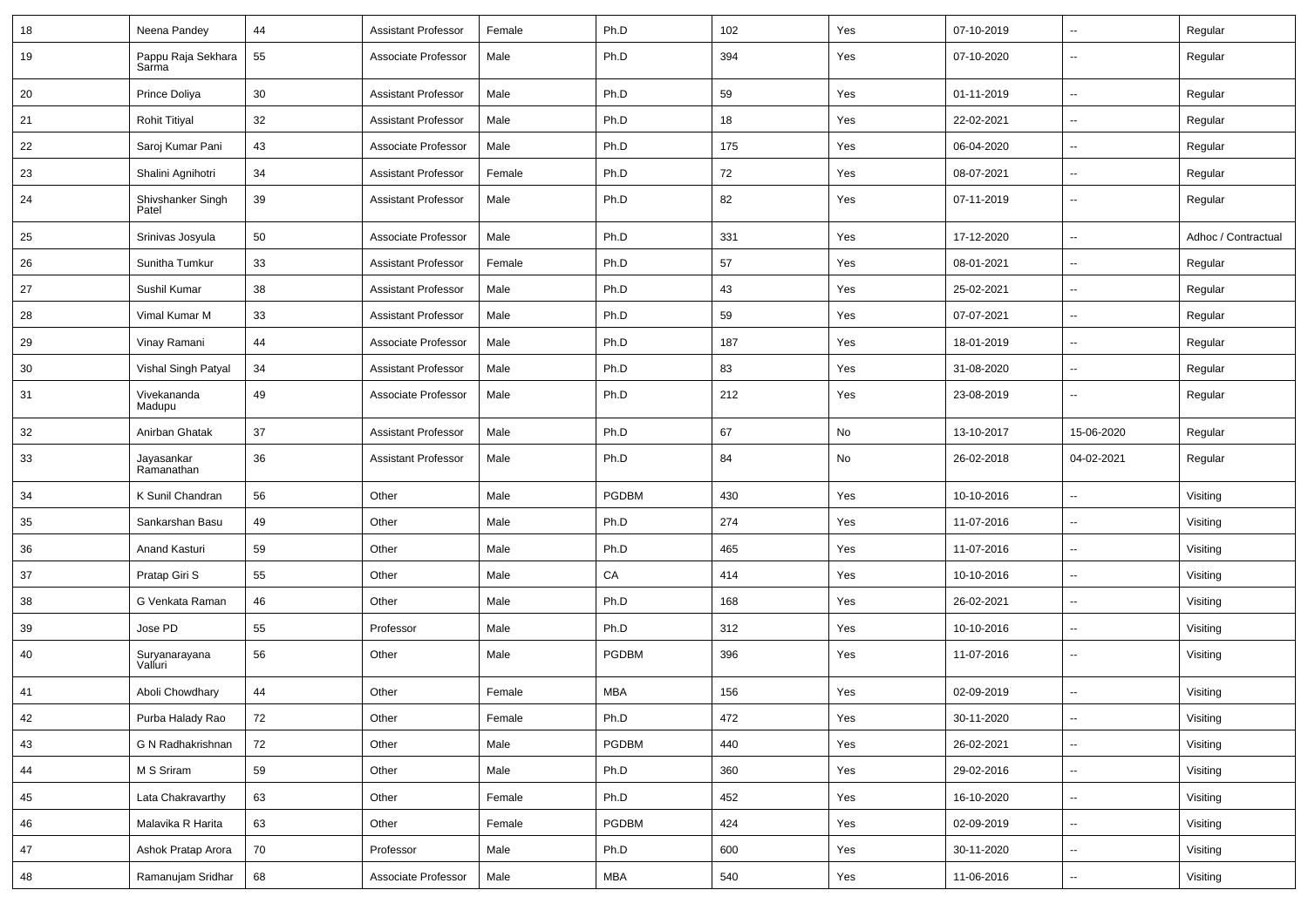| 18 | Neena Pandey                | 44 | <b>Assistant Professor</b> | Female | Ph.D       | 102 | Yes | 07-10-2019 | $\sim$                   | Regular             |
|----|-----------------------------|----|----------------------------|--------|------------|-----|-----|------------|--------------------------|---------------------|
| 19 | Pappu Raja Sekhara<br>Sarma | 55 | Associate Professor        | Male   | Ph.D       | 394 | Yes | 07-10-2020 | --                       | Regular             |
| 20 | Prince Doliya               | 30 | <b>Assistant Professor</b> | Male   | Ph.D       | 59  | Yes | 01-11-2019 | $\sim$                   | Regular             |
| 21 | <b>Rohit Titiyal</b>        | 32 | <b>Assistant Professor</b> | Male   | Ph.D       | 18  | Yes | 22-02-2021 | --                       | Regular             |
| 22 | Saroj Kumar Pani            | 43 | Associate Professor        | Male   | Ph.D       | 175 | Yes | 06-04-2020 | $\overline{a}$           | Regular             |
| 23 | Shalini Agnihotri           | 34 | <b>Assistant Professor</b> | Female | Ph.D       | 72  | Yes | 08-07-2021 | $\sim$                   | Regular             |
| 24 | Shivshanker Singh<br>Patel  | 39 | <b>Assistant Professor</b> | Male   | Ph.D       | 82  | Yes | 07-11-2019 | $\sim$                   | Regular             |
| 25 | Srinivas Josyula            | 50 | Associate Professor        | Male   | Ph.D       | 331 | Yes | 17-12-2020 | $\sim$                   | Adhoc / Contractual |
| 26 | Sunitha Tumkur              | 33 | <b>Assistant Professor</b> | Female | Ph.D       | 57  | Yes | 08-01-2021 | $\sim$                   | Regular             |
| 27 | Sushil Kumar                | 38 | <b>Assistant Professor</b> | Male   | Ph.D       | 43  | Yes | 25-02-2021 | $\sim$                   | Regular             |
| 28 | Vimal Kumar M               | 33 | <b>Assistant Professor</b> | Male   | Ph.D       | 59  | Yes | 07-07-2021 | $\overline{\phantom{a}}$ | Regular             |
| 29 | Vinay Ramani                | 44 | Associate Professor        | Male   | Ph.D       | 187 | Yes | 18-01-2019 | $\overline{a}$           | Regular             |
| 30 | Vishal Singh Patyal         | 34 | <b>Assistant Professor</b> | Male   | Ph.D       | 83  | Yes | 31-08-2020 | $\overline{\phantom{a}}$ | Regular             |
| 31 | Vivekananda<br>Madupu       | 49 | Associate Professor        | Male   | Ph.D       | 212 | Yes | 23-08-2019 | $\sim$                   | Regular             |
| 32 | Anirban Ghatak              | 37 | <b>Assistant Professor</b> | Male   | Ph.D       | 67  | No  | 13-10-2017 | 15-06-2020               | Regular             |
| 33 | Jayasankar<br>Ramanathan    | 36 | <b>Assistant Professor</b> | Male   | Ph.D       | 84  | No  | 26-02-2018 | 04-02-2021               | Regular             |
| 34 | K Sunil Chandran            | 56 | Other                      | Male   | PGDBM      | 430 | Yes | 10-10-2016 | $\sim$                   | Visiting            |
| 35 | Sankarshan Basu             | 49 | Other                      | Male   | Ph.D       | 274 | Yes | 11-07-2016 | ш.                       | Visiting            |
| 36 | Anand Kasturi               | 59 | Other                      | Male   | Ph.D       | 465 | Yes | 11-07-2016 | $\overline{\phantom{a}}$ | Visiting            |
| 37 | Pratap Giri S               | 55 | Other                      | Male   | CA         | 414 | Yes | 10-10-2016 | ۰.                       | Visiting            |
| 38 | G Venkata Raman             | 46 | Other                      | Male   | Ph.D       | 168 | Yes | 26-02-2021 | $\sim$                   | Visiting            |
| 39 | Jose PD                     | 55 | Professor                  | Male   | Ph.D       | 312 | Yes | 10-10-2016 | $\sim$                   | Visiting            |
| 40 | Suryanarayana<br>Valluri    | 56 | Other                      | Male   | PGDBM      | 396 | Yes | 11-07-2016 | $\sim$                   | Visiting            |
| 41 | Aboli Chowdhary             | 44 | Other                      | Female | <b>MBA</b> | 156 | Yes | 02-09-2019 | $\sim$                   | Visiting            |
| 42 | Purba Halady Rao            | 72 | Other                      | Female | Ph.D       | 472 | Yes | 30-11-2020 | $\overline{\phantom{a}}$ | Visiting            |
| 43 | G N Radhakrishnan           | 72 | Other                      | Male   | PGDBM      | 440 | Yes | 26-02-2021 | $\sim$                   | Visiting            |
| 44 | M S Sriram                  | 59 | Other                      | Male   | Ph.D       | 360 | Yes | 29-02-2016 | ш.                       | Visiting            |
| 45 | Lata Chakravarthy           | 63 | Other                      | Female | Ph.D       | 452 | Yes | 16-10-2020 | $\overline{\phantom{a}}$ | Visiting            |
| 46 | Malavika R Harita           | 63 | Other                      | Female | PGDBM      | 424 | Yes | 02-09-2019 | $\overline{\phantom{a}}$ | Visiting            |
| 47 | Ashok Pratap Arora          | 70 | Professor                  | Male   | Ph.D       | 600 | Yes | 30-11-2020 | $\overline{\phantom{a}}$ | Visiting            |
| 48 | Ramanujam Sridhar           | 68 | Associate Professor        | Male   | MBA        | 540 | Yes | 11-06-2016 | $\overline{\phantom{a}}$ | Visiting            |